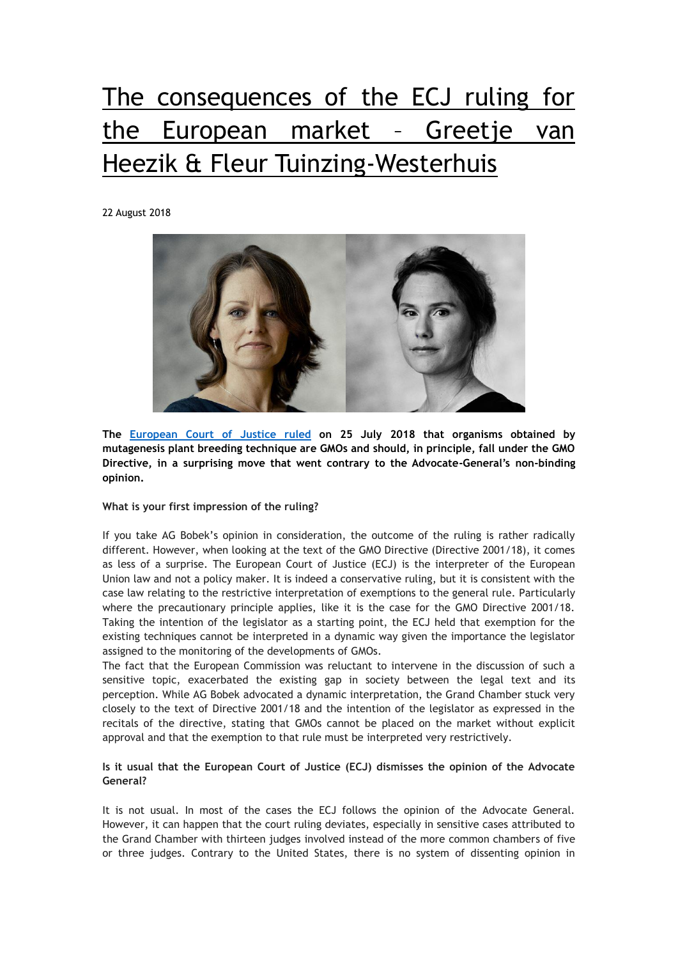# The consequences of the ECJ ruling for the European market – Greetje van Heezik & Fleur Tuinzing-Westerhuis

22 August 2018



**The [European Court of Justice ruled](https://curia.europa.eu/jcms/upload/docs/application/pdf/2018-07/cp180111en.pdf) on 25 July 2018 that organisms obtained by mutagenesis plant breeding technique are GMOs and should, in principle, fall under the GMO Directive, in a surprising move that went contrary to the Advocate-General's non-binding opinion.**

#### **What is your first impression of the ruling?**

If you take AG Bobek's opinion in consideration, the outcome of the ruling is rather radically different. However, when looking at the text of the GMO Directive (Directive 2001/18), it comes as less of a surprise. The European Court of Justice (ECJ) is the interpreter of the European Union law and not a policy maker. It is indeed a conservative ruling, but it is consistent with the case law relating to the restrictive interpretation of exemptions to the general rule. Particularly where the precautionary principle applies, like it is the case for the GMO Directive 2001/18. Taking the intention of the legislator as a starting point, the ECJ held that exemption for the existing techniques cannot be interpreted in a dynamic way given the importance the legislator assigned to the monitoring of the developments of GMOs.

The fact that the European Commission was reluctant to intervene in the discussion of such a sensitive topic, exacerbated the existing gap in society between the legal text and its perception. While AG Bobek advocated a dynamic interpretation, the Grand Chamber stuck very closely to the text of Directive 2001/18 and the intention of the legislator as expressed in the recitals of the directive, stating that GMOs cannot be placed on the market without explicit approval and that the exemption to that rule must be interpreted very restrictively.

## **Is it usual that the European Court of Justice (ECJ) dismisses the opinion of the Advocate General?**

It is not usual. In most of the cases the ECJ follows the opinion of the Advocate General. However, it can happen that the court ruling deviates, especially in sensitive cases attributed to the Grand Chamber with thirteen judges involved instead of the more common chambers of five or three judges. Contrary to the United States, there is no system of dissenting opinion in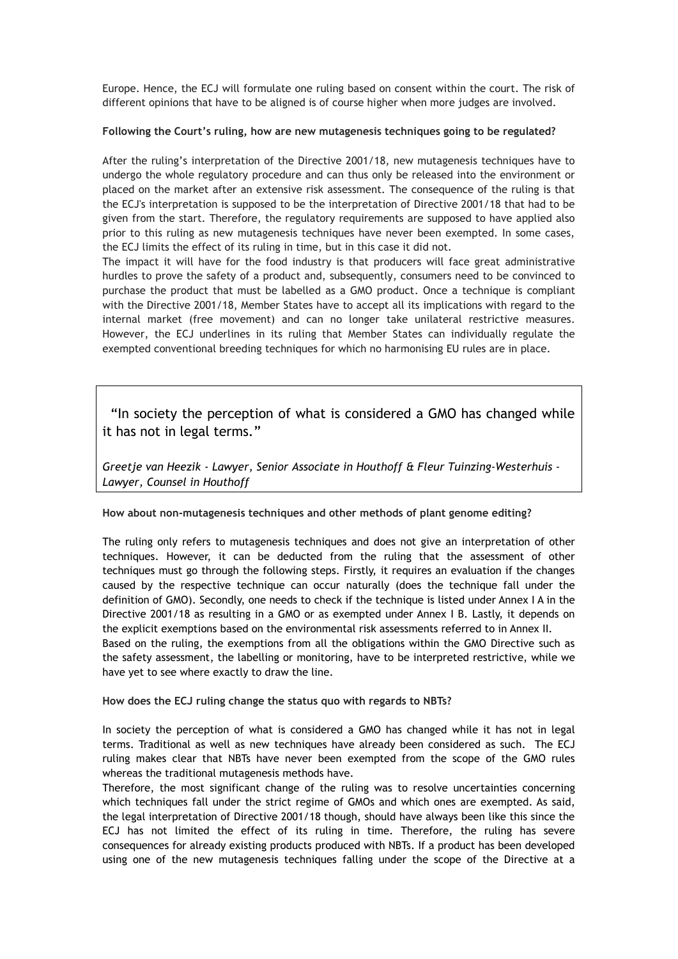Europe. Hence, the ECJ will formulate one ruling based on consent within the court. The risk of different opinions that have to be aligned is of course higher when more judges are involved.

#### **Following the Court's ruling, how are new mutagenesis techniques going to be regulated?**

After the ruling's interpretation of the Directive 2001/18, new mutagenesis techniques have to undergo the whole regulatory procedure and can thus only be released into the environment or placed on the market after an extensive risk assessment. The consequence of the ruling is that the ECJ's interpretation is supposed to be the interpretation of Directive 2001/18 that had to be given from the start. Therefore, the regulatory requirements are supposed to have applied also prior to this ruling as new mutagenesis techniques have never been exempted. In some cases, the ECJ limits the effect of its ruling in time, but in this case it did not.

The impact it will have for the food industry is that producers will face great administrative hurdles to prove the safety of a product and, subsequently, consumers need to be convinced to purchase the product that must be labelled as a GMO product. Once a technique is compliant with the Directive 2001/18, Member States have to accept all its implications with regard to the internal market (free movement) and can no longer take unilateral restrictive measures. However, the ECJ underlines in its ruling that Member States can individually regulate the exempted conventional breeding techniques for which no harmonising EU rules are in place.

 "In society the perception of what is considered a GMO has changed while it has not in legal terms."

*Greetje van Heezik - Lawyer, Senior Associate in Houthoff & Fleur Tuinzing-Westerhuis - Lawyer, Counsel in Houthoff*

#### **How about non-mutagenesis techniques and other methods of plant genome editing?**

The ruling only refers to mutagenesis techniques and does not give an interpretation of other techniques. However, it can be deducted from the ruling that the assessment of other techniques must go through the following steps. Firstly, it requires an evaluation if the changes caused by the respective technique can occur naturally (does the technique fall under the definition of GMO). Secondly, one needs to check if the technique is listed under Annex I A in the Directive 2001/18 as resulting in a GMO or as exempted under Annex I B. Lastly, it depends on the explicit exemptions based on the environmental risk assessments referred to in Annex II. Based on the ruling, the exemptions from all the obligations within the GMO Directive such as the safety assessment, the labelling or monitoring, have to be interpreted restrictive, while we have yet to see where exactly to draw the line.

**How does the ECJ ruling change the status quo with regards to NBTs?**

In society the perception of what is considered a GMO has changed while it has not in legal terms. Traditional as well as new techniques have already been considered as such. The ECJ ruling makes clear that NBTs have never been exempted from the scope of the GMO rules whereas the traditional mutagenesis methods have.

Therefore, the most significant change of the ruling was to resolve uncertainties concerning which techniques fall under the strict regime of GMOs and which ones are exempted. As said, the legal interpretation of Directive 2001/18 though, should have always been like this since the ECJ has not limited the effect of its ruling in time. Therefore, the ruling has severe consequences for already existing products produced with NBTs. If a product has been developed using one of the new mutagenesis techniques falling under the scope of the Directive at a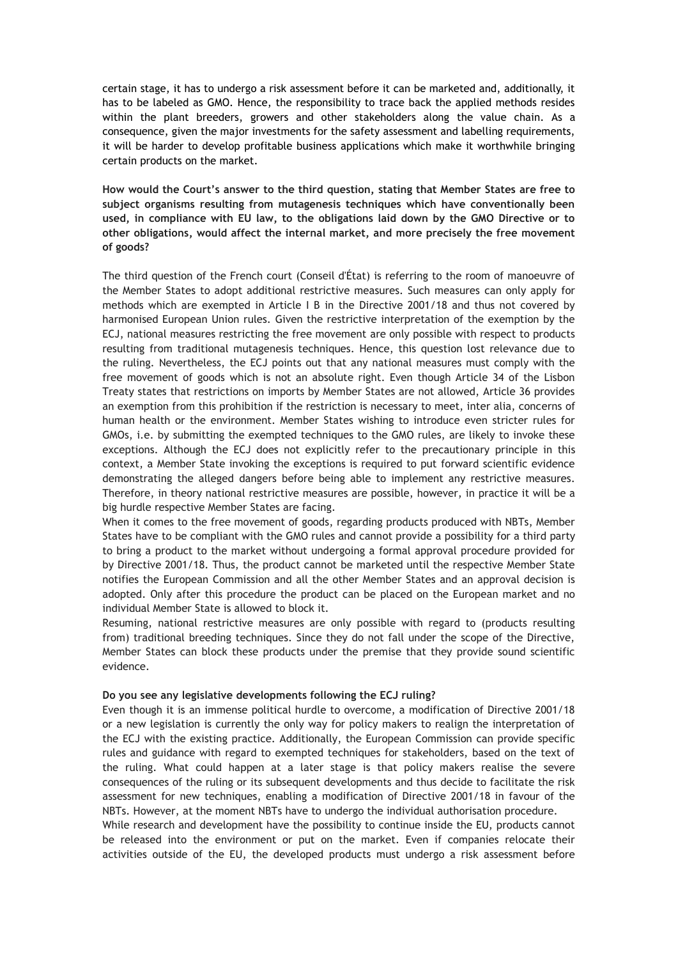certain stage, it has to undergo a risk assessment before it can be marketed and, additionally, it has to be labeled as GMO. Hence, the responsibility to trace back the applied methods resides within the plant breeders, growers and other stakeholders along the value chain. As a consequence, given the major investments for the safety assessment and labelling requirements, it will be harder to develop profitable business applications which make it worthwhile bringing certain products on the market.

**How would the Court's answer to the third question, stating that Member States are free to subject organisms resulting from mutagenesis techniques which have conventionally been used, in compliance with EU law, to the obligations laid down by the GMO Directive or to other obligations, would affect the internal market, and more precisely the free movement of goods?**

The third question of the French court (Conseil d'État) is referring to the room of manoeuvre of the Member States to adopt additional restrictive measures. Such measures can only apply for methods which are exempted in Article I B in the Directive 2001/18 and thus not covered by harmonised European Union rules. Given the restrictive interpretation of the exemption by the ECJ, national measures restricting the free movement are only possible with respect to products resulting from traditional mutagenesis techniques. Hence, this question lost relevance due to the ruling. Nevertheless, the ECJ points out that any national measures must comply with the free movement of goods which is not an absolute right. Even though Article 34 of the Lisbon Treaty states that restrictions on imports by Member States are not allowed, Article 36 provides an exemption from this prohibition if the restriction is necessary to meet, inter alia, concerns of human health or the environment. Member States wishing to introduce even stricter rules for GMOs, i.e. by submitting the exempted techniques to the GMO rules, are likely to invoke these exceptions. Although the ECJ does not explicitly refer to the precautionary principle in this context, a Member State invoking the exceptions is required to put forward scientific evidence demonstrating the alleged dangers before being able to implement any restrictive measures. Therefore, in theory national restrictive measures are possible, however, in practice it will be a big hurdle respective Member States are facing.

When it comes to the free movement of goods, regarding products produced with NBTs, Member States have to be compliant with the GMO rules and cannot provide a possibility for a third party to bring a product to the market without undergoing a formal approval procedure provided for by Directive 2001/18. Thus, the product cannot be marketed until the respective Member State notifies the European Commission and all the other Member States and an approval decision is adopted. Only after this procedure the product can be placed on the European market and no individual Member State is allowed to block it.

Resuming, national restrictive measures are only possible with regard to (products resulting from) traditional breeding techniques. Since they do not fall under the scope of the Directive, Member States can block these products under the premise that they provide sound scientific evidence.

#### **Do you see any legislative developments following the ECJ ruling?**

Even though it is an immense political hurdle to overcome, a modification of Directive 2001/18 or a new legislation is currently the only way for policy makers to realign the interpretation of the ECJ with the existing practice. Additionally, the European Commission can provide specific rules and guidance with regard to exempted techniques for stakeholders, based on the text of the ruling. What could happen at a later stage is that policy makers realise the severe consequences of the ruling or its subsequent developments and thus decide to facilitate the risk assessment for new techniques, enabling a modification of Directive 2001/18 in favour of the NBTs. However, at the moment NBTs have to undergo the individual authorisation procedure.

While research and development have the possibility to continue inside the EU, products cannot be released into the environment or put on the market. Even if companies relocate their activities outside of the EU, the developed products must undergo a risk assessment before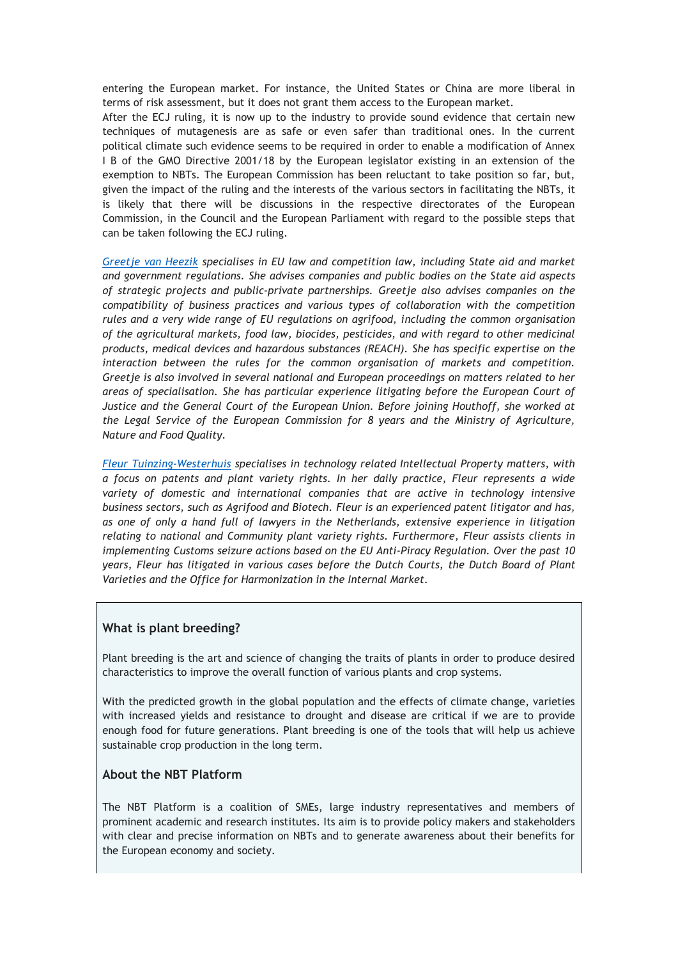entering the European market. For instance, the United States or China are more liberal in terms of risk assessment, but it does not grant them access to the European market.

After the ECJ ruling, it is now up to the industry to provide sound evidence that certain new techniques of mutagenesis are as safe or even safer than traditional ones. In the current political climate such evidence seems to be required in order to enable a modification of Annex I B of the GMO Directive 2001/18 by the European legislator existing in an extension of the exemption to NBTs. The European Commission has been reluctant to take position so far, but, given the impact of the ruling and the interests of the various sectors in facilitating the NBTs, it is likely that there will be discussions in the respective directorates of the European Commission, in the Council and the European Parliament with regard to the possible steps that can be taken following the ECJ ruling.

*[Greetje van Heezik](https://www.houthoff.com/Our-People/people/Greetje-van-Heezik?sc_lang=en) specialises in EU law and competition law, including State aid and market and government regulations. She advises companies and public bodies on the State aid aspects of strategic projects and public-private partnerships. Greetje also advises companies on the compatibility of business practices and various types of collaboration with the competition rules and a very wide range of EU regulations on agrifood, including the common organisation of the agricultural markets, food law, biocides, pesticides, and with regard to other medicinal products, medical devices and hazardous substances (REACH). She has specific expertise on the interaction between the rules for the common organisation of markets and competition. Greetje is also involved in several national and European proceedings on matters related to her areas of specialisation. She has particular experience litigating before the European Court of Justice and the General Court of the European Union. Before joining Houthoff, she worked at the Legal Service of the European Commission for 8 years and the Ministry of Agriculture, Nature and Food Quality.*

*[Fleur Tuinzing-Westerhuis](https://www.houthoff.com/Our-People/people/Fleur-Tuinzing-Westerhuis) specialises in technology related Intellectual Property matters, with a focus on patents and plant variety rights. In her daily practice, Fleur represents a wide variety of domestic and international companies that are active in technology intensive business sectors, such as Agrifood and Biotech. Fleur is an experienced patent litigator and has, as one of only a hand full of lawyers in the Netherlands, extensive experience in litigation relating to national and Community plant variety rights. Furthermore, Fleur assists clients in implementing Customs seizure actions based on the EU Anti-Piracy Regulation. Over the past 10 years, Fleur has litigated in various cases before the Dutch Courts, the Dutch Board of Plant Varieties and the Office for Harmonization in the Internal Market.*

## **What is plant breeding?**

Plant breeding is the art and science of changing the traits of plants in order to produce desired characteristics to improve the overall function of various plants and crop systems.

With the predicted growth in the global population and the effects of climate change, varieties with increased yields and resistance to drought and disease are critical if we are to provide enough food for future generations. Plant breeding is one of the tools that will help us achieve sustainable crop production in the long term.

# **About the NBT Platform**

The NBT Platform is a coalition of SMEs, large industry representatives and members of prominent academic and research institutes. Its aim is to provide policy makers and stakeholders with clear and precise information on NBTs and to generate awareness about their benefits for the European economy and society.